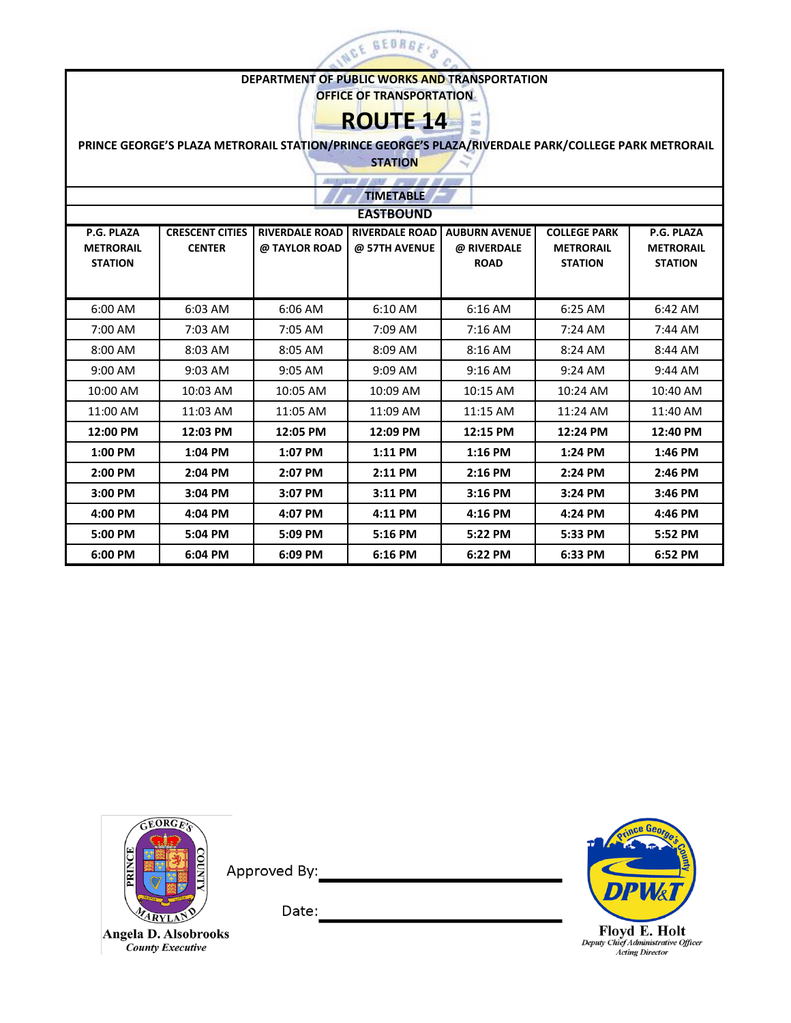

## **DEPARTMENT OF PUBLIC WORKS AND TRANSPORTATION**

**OFFICE OF TRANSPORTATION**

**ROUTE 14**

 $\sqrt{}$ 

 **PRINCE GEORGE'S PLAZA METRORAIL STATION/PRINCE GEORGE'S PLAZA/RIVERDALE PARK/COLLEGE PARK METRORAIL** 

**STATION**

|                                                  | <b>All Control of the American</b><br>---- |                                        |                                        |                                                    |                                                           |                                                  |  |  |  |  |  |  |
|--------------------------------------------------|--------------------------------------------|----------------------------------------|----------------------------------------|----------------------------------------------------|-----------------------------------------------------------|--------------------------------------------------|--|--|--|--|--|--|
|                                                  | <b>TIMETABLE</b>                           |                                        |                                        |                                                    |                                                           |                                                  |  |  |  |  |  |  |
| <b>EASTBOUND</b>                                 |                                            |                                        |                                        |                                                    |                                                           |                                                  |  |  |  |  |  |  |
| P.G. PLAZA<br><b>METRORAIL</b><br><b>STATION</b> | <b>CRESCENT CITIES</b><br><b>CENTER</b>    | <b>RIVERDALE ROAD</b><br>@ TAYLOR ROAD | <b>RIVERDALE ROAD</b><br>@ 57TH AVENUE | <b>AUBURN AVENUE</b><br>@ RIVERDALE<br><b>ROAD</b> | <b>COLLEGE PARK</b><br><b>METRORAIL</b><br><b>STATION</b> | P.G. PLAZA<br><b>METRORAIL</b><br><b>STATION</b> |  |  |  |  |  |  |
| 6:00 AM                                          | 6:03 AM                                    | 6:06 AM                                | 6:10 AM                                | 6:16 AM                                            | 6:25 AM                                                   | 6:42 AM                                          |  |  |  |  |  |  |
| 7:00 AM                                          | 7:03 AM                                    | 7:05 AM                                | 7:09 AM                                | $7:16$ AM                                          | $7:24$ AM                                                 | $7:44$ AM                                        |  |  |  |  |  |  |
| $8:00$ AM                                        | 8:03 AM                                    | 8:05 AM                                | 8:09 AM                                | $8:16$ AM                                          | 8:24 AM                                                   | 8:44 AM                                          |  |  |  |  |  |  |
| $9:00$ AM                                        | 9:03 AM                                    | $9:05$ AM                              | $9:09$ AM                              | $9:16$ AM                                          | $9:24$ AM                                                 | $9:44$ AM                                        |  |  |  |  |  |  |
| 10:00 AM                                         | 10:03 AM                                   | 10:05 AM                               | 10:09 AM                               | 10:15 AM                                           | 10:24 AM                                                  | 10:40 AM                                         |  |  |  |  |  |  |
| 11:00 AM                                         | 11:03 AM                                   | 11:05 AM                               | 11:09 AM                               | 11:15 AM                                           | 11:24 AM                                                  | 11:40 AM                                         |  |  |  |  |  |  |
| 12:00 PM                                         | 12:03 PM                                   | 12:05 PM                               | 12:09 PM                               | 12:15 PM                                           | 12:24 PM                                                  | 12:40 PM                                         |  |  |  |  |  |  |
| 1:00 PM                                          | 1:04 PM                                    | 1:07 PM                                | 1:11 PM                                | $1:16$ PM                                          | 1:24 PM                                                   | 1:46 PM                                          |  |  |  |  |  |  |
| 2:00 PM                                          | 2:04 PM                                    | 2:07 PM                                | 2:11 PM                                | 2:16 PM                                            | 2:24 PM                                                   | 2:46 PM                                          |  |  |  |  |  |  |
| 3:00 PM                                          | 3:04 PM                                    | 3:07 PM                                | 3:11 PM                                | $3:16$ PM                                          | 3:24 PM                                                   | 3:46 PM                                          |  |  |  |  |  |  |
| 4:00 PM                                          | 4:04 PM                                    | 4:07 PM                                | 4:11 PM                                | 4:16 PM                                            | 4:24 PM                                                   | 4:46 PM                                          |  |  |  |  |  |  |
| 5:00 PM                                          | 5:04 PM                                    | 5:09 PM                                | 5:16 PM                                | 5:22 PM                                            | 5:33 PM                                                   | 5:52 PM                                          |  |  |  |  |  |  |
| 6:00 PM                                          | 6:04 PM                                    | 6:09 PM                                | 6:16 PM                                | 6:22 PM                                            | 6:33 PM                                                   | 6:52 PM                                          |  |  |  |  |  |  |



Approved By:

Angela D. Alsobrooks **County Executive** 



 $\underset{Activity \; Chief \; Administrative \; Officer}{\textbf{Floyd E. Holt}}$ 

Date: